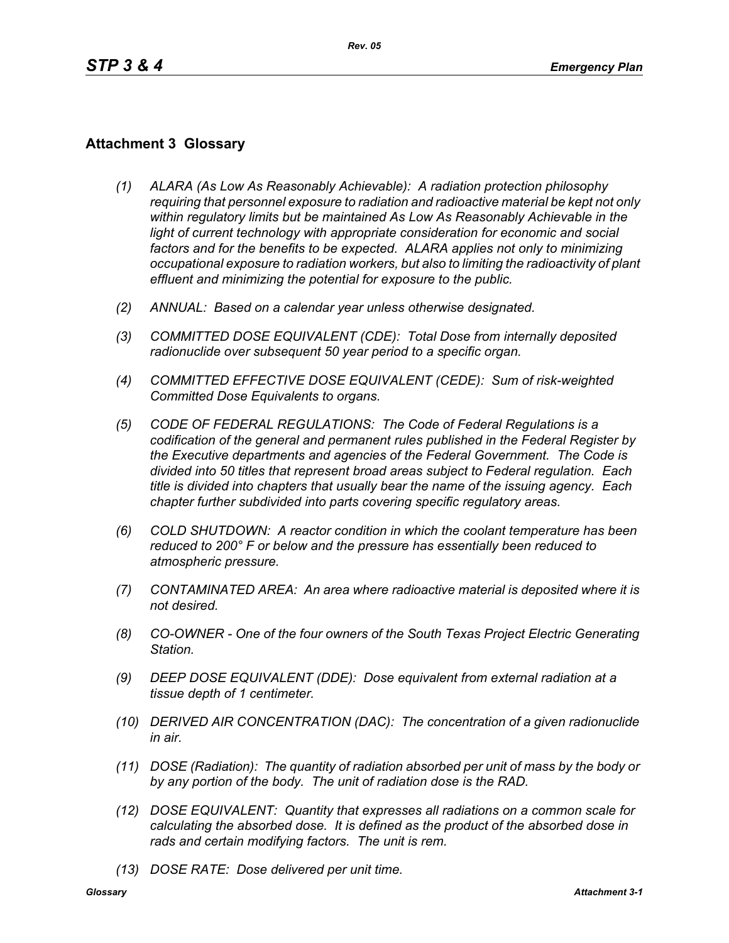## **Attachment 3 Glossary**

- *(1) ALARA (As Low As Reasonably Achievable): A radiation protection philosophy requiring that personnel exposure to radiation and radioactive material be kept not only within regulatory limits but be maintained As Low As Reasonably Achievable in the*  light of current technology with appropriate consideration for economic and social *factors and for the benefits to be expected. ALARA applies not only to minimizing occupational exposure to radiation workers, but also to limiting the radioactivity of plant effluent and minimizing the potential for exposure to the public.*
- *(2) ANNUAL: Based on a calendar year unless otherwise designated.*
- *(3) COMMITTED DOSE EQUIVALENT (CDE): Total Dose from internally deposited radionuclide over subsequent 50 year period to a specific organ.*
- *(4) COMMITTED EFFECTIVE DOSE EQUIVALENT (CEDE): Sum of risk-weighted Committed Dose Equivalents to organs.*
- *(5) CODE OF FEDERAL REGULATIONS: The Code of Federal Regulations is a codification of the general and permanent rules published in the Federal Register by the Executive departments and agencies of the Federal Government. The Code is divided into 50 titles that represent broad areas subject to Federal regulation. Each title is divided into chapters that usually bear the name of the issuing agency. Each chapter further subdivided into parts covering specific regulatory areas.*
- *(6) COLD SHUTDOWN: A reactor condition in which the coolant temperature has been reduced to 200° F or below and the pressure has essentially been reduced to atmospheric pressure.*
- *(7) CONTAMINATED AREA: An area where radioactive material is deposited where it is not desired.*
- *(8) CO-OWNER One of the four owners of the South Texas Project Electric Generating Station.*
- *(9) DEEP DOSE EQUIVALENT (DDE): Dose equivalent from external radiation at a tissue depth of 1 centimeter.*
- *(10) DERIVED AIR CONCENTRATION (DAC): The concentration of a given radionuclide in air.*
- *(11) DOSE (Radiation): The quantity of radiation absorbed per unit of mass by the body or by any portion of the body. The unit of radiation dose is the RAD.*
- *(12) DOSE EQUIVALENT: Quantity that expresses all radiations on a common scale for calculating the absorbed dose. It is defined as the product of the absorbed dose in rads and certain modifying factors. The unit is rem.*
- *(13) DOSE RATE: Dose delivered per unit time.*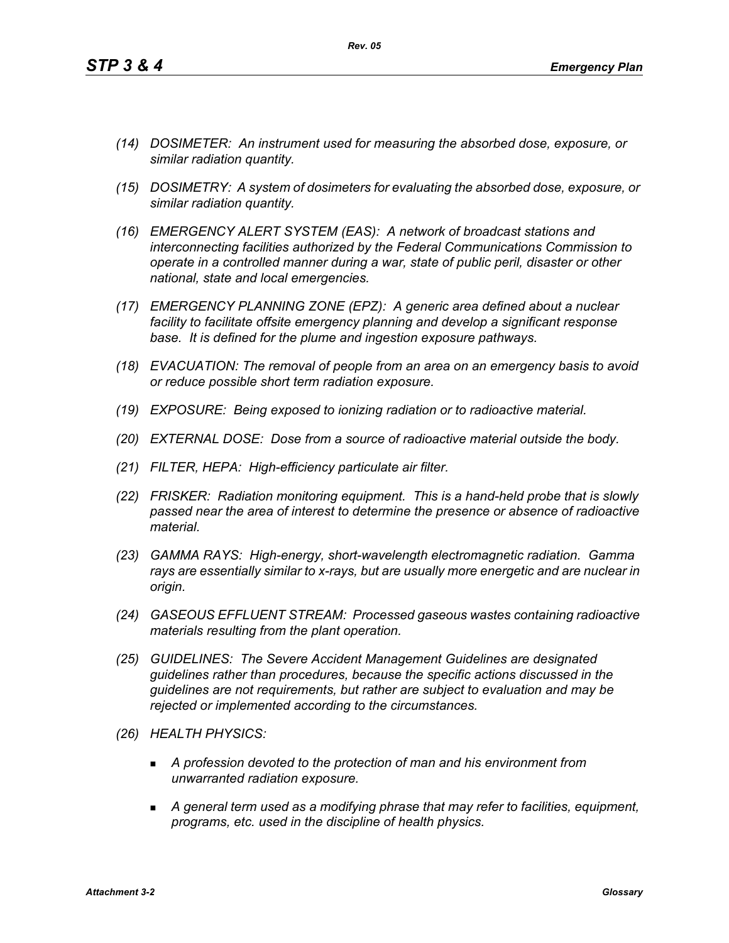- *(14) DOSIMETER: An instrument used for measuring the absorbed dose, exposure, or similar radiation quantity.*
- *(15) DOSIMETRY: A system of dosimeters for evaluating the absorbed dose, exposure, or similar radiation quantity.*
- *(16) EMERGENCY ALERT SYSTEM (EAS): A network of broadcast stations and interconnecting facilities authorized by the Federal Communications Commission to operate in a controlled manner during a war, state of public peril, disaster or other national, state and local emergencies.*
- *(17) EMERGENCY PLANNING ZONE (EPZ): A generic area defined about a nuclear facility to facilitate offsite emergency planning and develop a significant response base. It is defined for the plume and ingestion exposure pathways.*
- *(18) EVACUATION: The removal of people from an area on an emergency basis to avoid or reduce possible short term radiation exposure.*
- *(19) EXPOSURE: Being exposed to ionizing radiation or to radioactive material.*
- *(20) EXTERNAL DOSE: Dose from a source of radioactive material outside the body.*
- *(21) FILTER, HEPA: High-efficiency particulate air filter.*
- *(22) FRISKER: Radiation monitoring equipment. This is a hand-held probe that is slowly passed near the area of interest to determine the presence or absence of radioactive material.*
- *(23) GAMMA RAYS: High-energy, short-wavelength electromagnetic radiation. Gamma rays are essentially similar to x-rays, but are usually more energetic and are nuclear in origin.*
- *(24) GASEOUS EFFLUENT STREAM: Processed gaseous wastes containing radioactive materials resulting from the plant operation.*
- *(25) GUIDELINES: The Severe Accident Management Guidelines are designated guidelines rather than procedures, because the specific actions discussed in the guidelines are not requirements, but rather are subject to evaluation and may be rejected or implemented according to the circumstances.*
- *(26) HEALTH PHYSICS:*
	- *A profession devoted to the protection of man and his environment from unwarranted radiation exposure.*
	- *A general term used as a modifying phrase that may refer to facilities, equipment, programs, etc. used in the discipline of health physics.*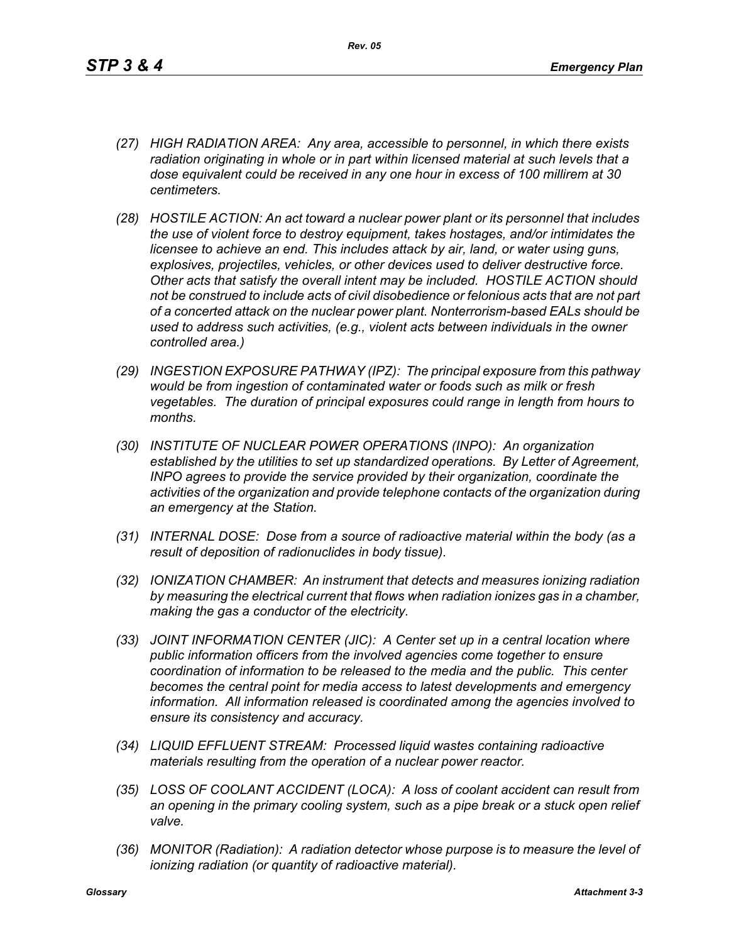- *(27) HIGH RADIATION AREA: Any area, accessible to personnel, in which there exists radiation originating in whole or in part within licensed material at such levels that a dose equivalent could be received in any one hour in excess of 100 millirem at 30 centimeters.*
- *(28) HOSTILE ACTION: An act toward a nuclear power plant or its personnel that includes the use of violent force to destroy equipment, takes hostages, and/or intimidates the licensee to achieve an end. This includes attack by air, land, or water using guns, explosives, projectiles, vehicles, or other devices used to deliver destructive force. Other acts that satisfy the overall intent may be included. HOSTILE ACTION should not be construed to include acts of civil disobedience or felonious acts that are not part of a concerted attack on the nuclear power plant. Nonterrorism-based EALs should be used to address such activities, (e.g., violent acts between individuals in the owner controlled area.)*
- *(29) INGESTION EXPOSURE PATHWAY (IPZ): The principal exposure from this pathway would be from ingestion of contaminated water or foods such as milk or fresh vegetables. The duration of principal exposures could range in length from hours to months.*
- *(30) INSTITUTE OF NUCLEAR POWER OPERATIONS (INPO): An organization established by the utilities to set up standardized operations. By Letter of Agreement, INPO agrees to provide the service provided by their organization, coordinate the activities of the organization and provide telephone contacts of the organization during an emergency at the Station.*
- *(31) INTERNAL DOSE: Dose from a source of radioactive material within the body (as a result of deposition of radionuclides in body tissue).*
- *(32) IONIZATION CHAMBER: An instrument that detects and measures ionizing radiation by measuring the electrical current that flows when radiation ionizes gas in a chamber, making the gas a conductor of the electricity.*
- *(33) JOINT INFORMATION CENTER (JIC): A Center set up in a central location where public information officers from the involved agencies come together to ensure coordination of information to be released to the media and the public. This center becomes the central point for media access to latest developments and emergency information. All information released is coordinated among the agencies involved to ensure its consistency and accuracy.*
- *(34) LIQUID EFFLUENT STREAM: Processed liquid wastes containing radioactive materials resulting from the operation of a nuclear power reactor.*
- *(35) LOSS OF COOLANT ACCIDENT (LOCA): A loss of coolant accident can result from an opening in the primary cooling system, such as a pipe break or a stuck open relief valve.*
- *(36) MONITOR (Radiation): A radiation detector whose purpose is to measure the level of ionizing radiation (or quantity of radioactive material).*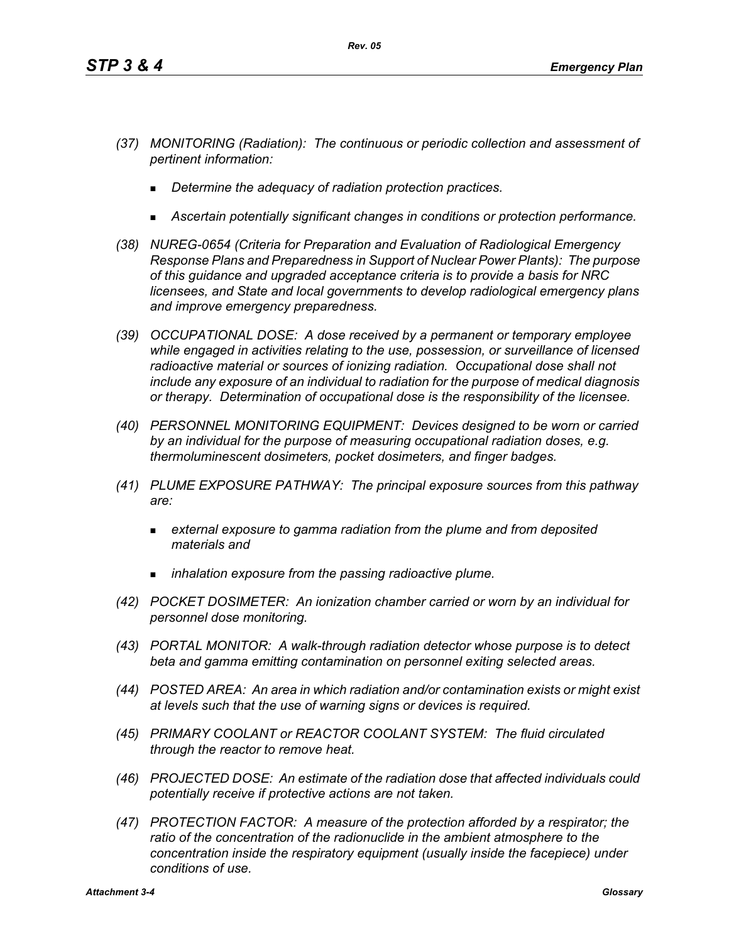- *(37) MONITORING (Radiation): The continuous or periodic collection and assessment of pertinent information:*
	- *Determine the adequacy of radiation protection practices.*
	- *Ascertain potentially significant changes in conditions or protection performance.*
- *(38) NUREG-0654 (Criteria for Preparation and Evaluation of Radiological Emergency Response Plans and Preparedness in Support of Nuclear Power Plants): The purpose of this guidance and upgraded acceptance criteria is to provide a basis for NRC licensees, and State and local governments to develop radiological emergency plans and improve emergency preparedness.*
- *(39) OCCUPATIONAL DOSE: A dose received by a permanent or temporary employee while engaged in activities relating to the use, possession, or surveillance of licensed radioactive material or sources of ionizing radiation. Occupational dose shall not include any exposure of an individual to radiation for the purpose of medical diagnosis or therapy. Determination of occupational dose is the responsibility of the licensee.*
- *(40) PERSONNEL MONITORING EQUIPMENT: Devices designed to be worn or carried by an individual for the purpose of measuring occupational radiation doses, e.g. thermoluminescent dosimeters, pocket dosimeters, and finger badges.*
- *(41) PLUME EXPOSURE PATHWAY: The principal exposure sources from this pathway are:*
	- *external exposure to gamma radiation from the plume and from deposited materials and*
	- *inhalation exposure from the passing radioactive plume.*
- *(42) POCKET DOSIMETER: An ionization chamber carried or worn by an individual for personnel dose monitoring.*
- *(43) PORTAL MONITOR: A walk-through radiation detector whose purpose is to detect beta and gamma emitting contamination on personnel exiting selected areas.*
- *(44) POSTED AREA: An area in which radiation and/or contamination exists or might exist at levels such that the use of warning signs or devices is required.*
- *(45) PRIMARY COOLANT or REACTOR COOLANT SYSTEM: The fluid circulated through the reactor to remove heat.*
- *(46) PROJECTED DOSE: An estimate of the radiation dose that affected individuals could potentially receive if protective actions are not taken.*
- *(47) PROTECTION FACTOR: A measure of the protection afforded by a respirator; the*  ratio of the concentration of the radionuclide in the ambient atmosphere to the *concentration inside the respiratory equipment (usually inside the facepiece) under conditions of use.*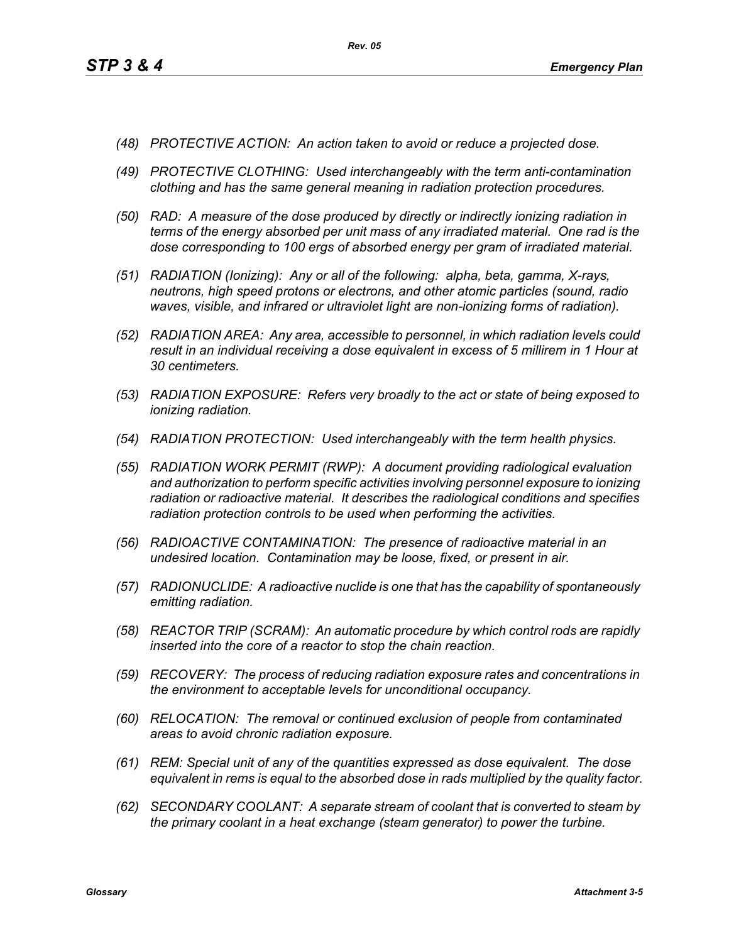- *(48) PROTECTIVE ACTION: An action taken to avoid or reduce a projected dose.*
- *(49) PROTECTIVE CLOTHING: Used interchangeably with the term anti-contamination clothing and has the same general meaning in radiation protection procedures.*
- *(50) RAD: A measure of the dose produced by directly or indirectly ionizing radiation in terms of the energy absorbed per unit mass of any irradiated material. One rad is the dose corresponding to 100 ergs of absorbed energy per gram of irradiated material.*
- *(51) RADIATION (Ionizing): Any or all of the following: alpha, beta, gamma, X-rays, neutrons, high speed protons or electrons, and other atomic particles (sound, radio waves, visible, and infrared or ultraviolet light are non-ionizing forms of radiation).*
- *(52) RADIATION AREA: Any area, accessible to personnel, in which radiation levels could result in an individual receiving a dose equivalent in excess of 5 millirem in 1 Hour at 30 centimeters.*
- *(53) RADIATION EXPOSURE: Refers very broadly to the act or state of being exposed to ionizing radiation.*
- *(54) RADIATION PROTECTION: Used interchangeably with the term health physics.*
- *(55) RADIATION WORK PERMIT (RWP): A document providing radiological evaluation and authorization to perform specific activities involving personnel exposure to ionizing radiation or radioactive material. It describes the radiological conditions and specifies radiation protection controls to be used when performing the activities.*
- *(56) RADIOACTIVE CONTAMINATION: The presence of radioactive material in an undesired location. Contamination may be loose, fixed, or present in air.*
- *(57) RADIONUCLIDE: A radioactive nuclide is one that has the capability of spontaneously emitting radiation.*
- *(58) REACTOR TRIP (SCRAM): An automatic procedure by which control rods are rapidly inserted into the core of a reactor to stop the chain reaction.*
- *(59) RECOVERY: The process of reducing radiation exposure rates and concentrations in the environment to acceptable levels for unconditional occupancy.*
- *(60) RELOCATION: The removal or continued exclusion of people from contaminated areas to avoid chronic radiation exposure.*
- *(61) REM: Special unit of any of the quantities expressed as dose equivalent. The dose equivalent in rems is equal to the absorbed dose in rads multiplied by the quality factor.*
- *(62) SECONDARY COOLANT: A separate stream of coolant that is converted to steam by the primary coolant in a heat exchange (steam generator) to power the turbine.*